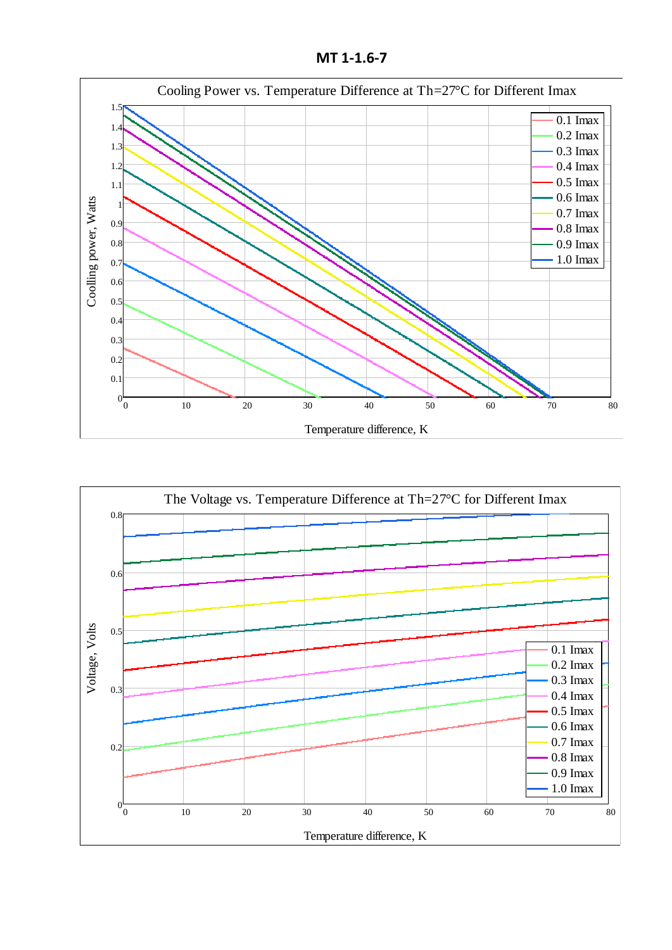**MT 1-1.6-7**